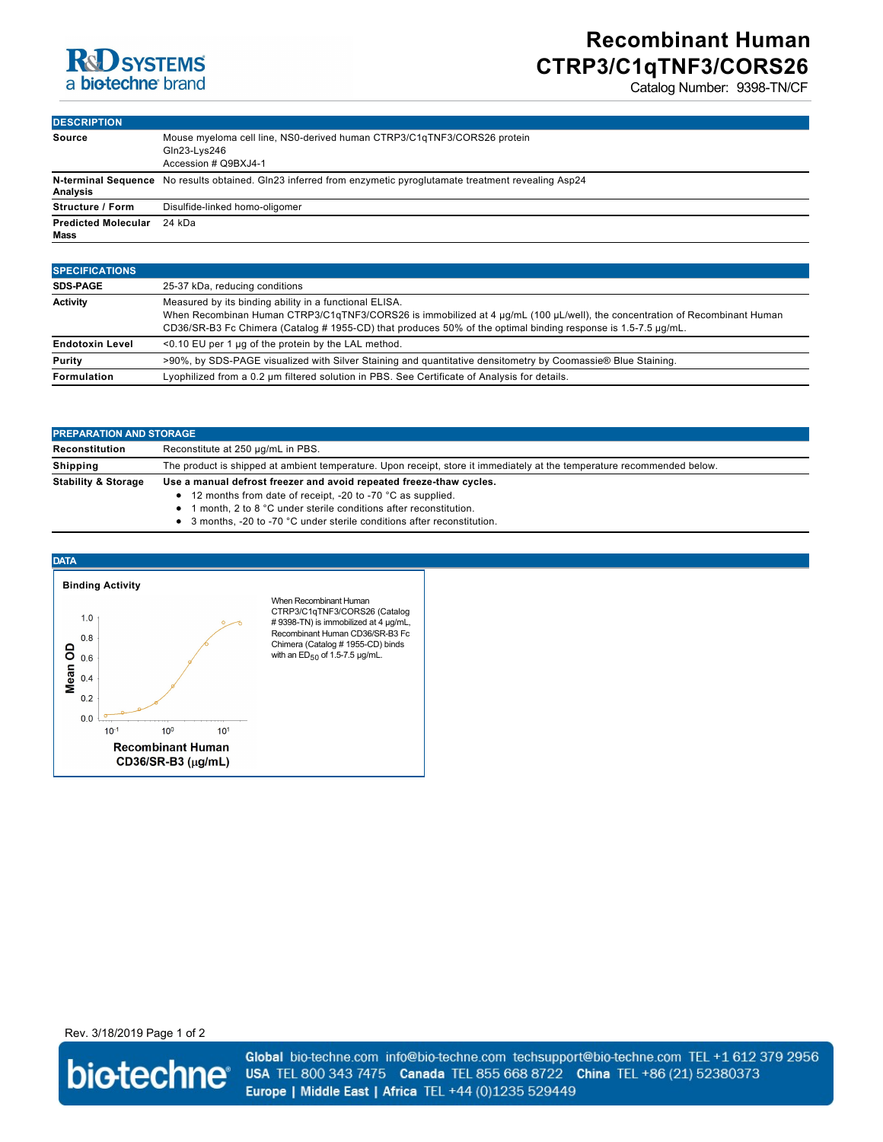### **R**d SYSTEMS a biotechne brand

# **Recombinant Human CTRP3/C1qTNF3/CORS26**

Catalog Number: 9398-TN/CF

| <b>DESCRIPTION</b>                 |                                                                                                                 |
|------------------------------------|-----------------------------------------------------------------------------------------------------------------|
| <b>Source</b>                      | Mouse myeloma cell line, NS0-derived human CTRP3/C1qTNF3/CORS26 protein<br>Gln23-Lys246<br>Accession # Q9BXJ4-1 |
| Analysis                           | N-terminal Sequence No results obtained. Gln23 inferred from enzymetic pyroglutamate treatment revealing Asp24  |
| <b>Structure / Form</b>            | Disulfide-linked homo-oligomer                                                                                  |
| <b>Predicted Molecular</b><br>Mass | 24 kDa                                                                                                          |

| <b>SPECIFICATIONS</b>  |                                                                                                                                                                                                                                                                                                       |
|------------------------|-------------------------------------------------------------------------------------------------------------------------------------------------------------------------------------------------------------------------------------------------------------------------------------------------------|
| <b>SDS-PAGE</b>        | 25-37 kDa, reducing conditions                                                                                                                                                                                                                                                                        |
| <b>Activity</b>        | Measured by its binding ability in a functional ELISA.<br>When Recombinan Human CTRP3/C1qTNF3/CORS26 is immobilized at 4 µg/mL (100 µL/well), the concentration of Recombinant Human<br>CD36/SR-B3 Fc Chimera (Catalog # 1955-CD) that produces 50% of the optimal binding response is 1.5-7.5 µg/mL. |
| <b>Endotoxin Level</b> | <0.10 EU per 1 µg of the protein by the LAL method.                                                                                                                                                                                                                                                   |
| <b>Purity</b>          | >90%, by SDS-PAGE visualized with Silver Staining and quantitative densitometry by Coomassie® Blue Staining.                                                                                                                                                                                          |
| <b>Formulation</b>     | Lyophilized from a 0.2 um filtered solution in PBS. See Certificate of Analysis for details.                                                                                                                                                                                                          |

| <b>PREPARATION AND STORAGE</b> |                                                                                                                         |
|--------------------------------|-------------------------------------------------------------------------------------------------------------------------|
| Reconstitution                 | Reconstitute at 250 µg/mL in PBS.                                                                                       |
| Shipping                       | The product is shipped at ambient temperature. Upon receipt, store it immediately at the temperature recommended below. |
| <b>Stability &amp; Storage</b> | Use a manual defrost freezer and avoid repeated freeze-thaw cycles.                                                     |
|                                | • 12 months from date of receipt, -20 to -70 °C as supplied.                                                            |
|                                | المالية المستحدث والمستحدث والمستحدث والمستحدث والمستحدث والمستحدث والمستحدث والمستحدث                                  |

- 1 month, 2 to 8 °C under sterile conditions after reconstitution. • 3 months, -20 to -70 °C under sterile conditions after reconstitution.
	-



Rev. 3/18/2019 Page 1 of 2



Global bio-techne.com info@bio-techne.com techsupport@bio-techne.com TEL +1 612 379 2956 USA TEL 800 343 7475 Canada TEL 855 668 8722 China TEL +86 (21) 52380373 Europe | Middle East | Africa TEL +44 (0)1235 529449